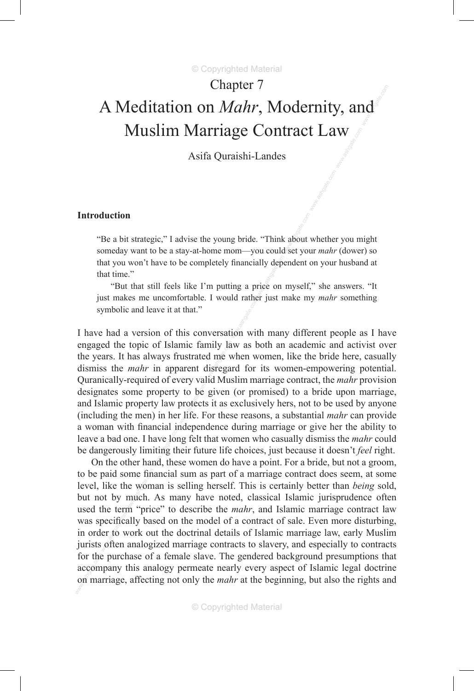© Copyrighted Material

## Muslim Marriage Contract Law<br>Asifa Quraishi-Landes  $\mathbf{d}$ Chapter 7 A Meditation on *Mahr*, Modernity, and

Asifa Quraishi-Landes

#### **Introduction**

that you won't have to be completely financially dependent on your husband at that time."<br>"But that still feels like I'm putting a price on myself," she answers. "It were<br>x about<br>d set you "Be a bit strategic," I advise the young bride. "Think about whether you might someday want to be a stay-at-home mom—you could set your *mahr* (dower) so that time."

Figure makes the uncomporation. I would rather just make my *mant* sometimity<br>symbolic and leave it at that."<br>I have had a version of this conversation with many different people as I have "But that still feels like I'm putting a price on myself," she answers. "It just makes me uncomfortable. I would rather just make my *mahr* something symbolic and leave it at that."

ncial in<br>ave lor<br>iting th<br>nd, the designates some property to be given (or promised) to a bride upon marriage, and Islamic property law protects it as exclusively hers, not to be used by anyone (including the men) in her life. For these reasons, a substant mily la<br>d me v<br>disrega<br>lid Mu engaged the topic of Islamic family law as both an academic and activist over the years. It has always frustrated me when women, like the bride here, casually dismiss the *mahr* in apparent disregard for its women-empowering potential. Quranically-required of every valid Muslim marriage contract, the *mahr* provision and Islamic property law protects it as exclusively hers, not to be used by anyone (including the men) in her life. For these reasons, a substantial *mahr* can provide a woman with financial independence during marriage or give her the ability to leave a bad one. I have long felt that women who casually dismiss the *mahr* could be dangerously limiting their future life choices, just because it doesn't *feel* right.

for the<br>accom<br>on ma was specifically based on the model of a contract of sale. Even more disturbing, in order to work out the doctrinal details of Islamic marriage law, early Muslim jurists often analogized marriage contracts to slavery, and wome fin<br>www.much.com<br>materials On the other hand, these women do have a point. For a bride, but not a groom, to be paid some financial sum as part of a marriage contract does seem, at some level, like the woman is selling herself. This is certainly better than *being* sold, but not by much. As many have noted, classical Islamic jurisprudence often used the term "price" to describe the *mahr*, and Islamic marriage contract law was specifically based on the model of a contract of sale. Even more disturbing, in order to work out the doctrinal details of Islamic marriage law, early Muslim for the purchase of a female slave. The gendered background presumptions that accompany this analogy permeate nearly every aspect of Islamic legal doctrine on marriage, affecting not only the *mahr* at the beginning, but also the rights and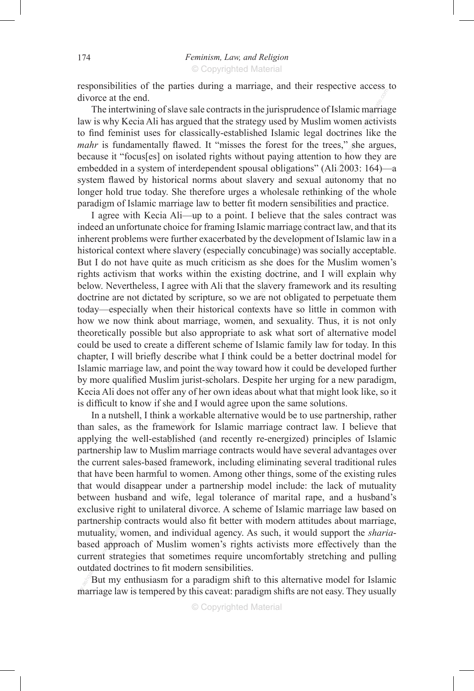responsibilities of the parties during a marriage, and their respective access to divorce at the end.

system flawed by historical norms about slavery and sexual autonomy that no<br>longer hold true today. She therefore urges a wholesale rethinking of the whole<br>paradigm of Islamic marriage law to better fit modern sensibilitie etrines<br>es," sho<br>to how<br>i 2003: www.<br>marria<br>activis The intertwining of slave sale contracts in the jurisprudence of Islamic marriage law is why Kecia Ali has argued that the strategy used by Muslim women activists to find feminist uses for classically-established Islamic legal doctrines like the *mahr* is fundamentally flawed. It "misses the forest for the trees," she argues, because it "focus[es] on isolated rights without paying attention to how they are embedded in a system of interdependent spousal obligations" (Ali 2003: 164)—a longer hold true today. She therefore urges a wholesale rethinking of the whole paradigm of Islamic marriage law to better fit modern sensibilities and practice.

ia Ali does not offer any of her own ideas about what that might look like, so it<br>ifficult to know if she and I would agree upon the same solutions.<br>In a nutshell, I think a workable alternative would be to use partnership n schei<br>hat I tl<br>he way<br>scholar today—especially when their historical contexts have so little in common with<br>how we now think about marriage, women, and sexuality. Thus, it is not only<br>theoretically possible but also appropriate to ask what sort of alte she do<br>g docti<br>slavery<br>re not r agree with recent Time up to a point. I beneve that the sates contract was<br>indeed an unfortunate choice for framing Islamic marriage contract law, and that its<br>inherent problems were further exacerbated by the developmen I agree with Kecia Ali—up to a point. I believe that the sales contract was inherent problems were further exacerbated by the development of Islamic law in a historical context where slavery (especially concubinage) was socially acceptable. But I do not have quite as much criticism as she does for the Muslim women's rights activism that works within the existing doctrine, and I will explain why below. Nevertheless, I agree with Ali that the slavery framework and its resulting doctrine are not dictated by scripture, so we are not obligated to perpetuate them how we now think about marriage, women, and sexuality. Thus, it is not only theoretically possible but also appropriate to ask what sort of alternative model could be used to create a different scheme of Islamic family law for today. In this chapter, I will briefly describe what I think could be a better doctrinal model for Islamic marriage law, and point the way toward how it could be developed further by more qualified Muslim jurist-scholars. Despite her urging for a new paradigm, Kecia Ali does not offer any of her own ideas about what that might look like, so it is difficult to know if she and I would agree upon the same solutions.

ership<br>ulity, w<br>approx en harn<br>lisappe<br>sband<br>.ht to u www.<br>establis<br>washim<br>sed fra than sales, as the framework for Islamic marriage contract law. I believe that applying the well-established (and recently re-energized) principles of Islamic partnership law to Muslim marriage contracts would have several advantages over the current sales-based framework, including eliminating several traditional rules that have been harmful to women. Among other things, some of the existing rules that would disappear under a partnership model include: the lack of mutuality between husband and wife, legal tolerance of marital rape, and a husband's exclusive right to unilateral divorce. A scheme of Islamic marriage law based on partnership contracts would also fit better with modern attitudes about marriage, mutuality, women, and individual agency. As such, it would support the *sharia*based approach of Muslim women's rights activists more effectively than the current strategies that sometimes require uncomfortably stretching and pulling outdated doctrines to fit modern sensibilities.

but a state of the materials of the metallities.<br>
That my enthusiasm for a paradigm shift to this alternative model for Islamic<br>
marriage law is tempered by this caveat: paradigm shifts are not easy. They usually But my enthusiasm for a paradigm shift to this alternative model for Islamic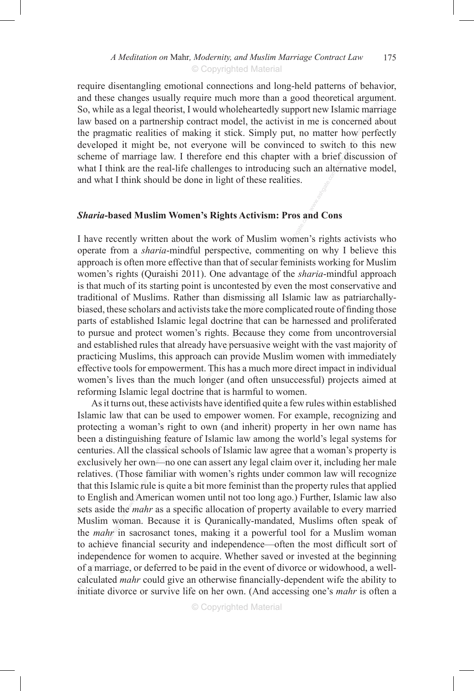Www.ashgate.com r how<br>tch to<br>ef discu wenavid<br>rgumer<br>marria require disentangling emotional connections and long-held patterns of behavior, and these changes usually require much more than a good theoretical argument. So, while as a legal theorist, I would wholeheartedly support new Islamic marriage law based on a partnership contract model, the activist in me is concerned about the pragmatic realities of making it stick. Simply put, no matter how perfectly developed it might be, not everyone will be convinced to switch to this new scheme of marriage law. I therefore end this chapter with a brief discussion of what I think are the real-life challenges to introducing such an alternative model, and what I think should be done in light of these realities.

#### *Sharia***-based Muslim Women's Rights Activism: Pros and Cons**

have p<br>can p<br>This h<br>nnger (1 relationary of Muslims. Kather than distinssing an Islamic Taw as patriachary-<br>biased, these scholars and activists take the more complicated route of finding those<br>parts of established Islamic legal doctrine that can be h ecular f<br>age of<br>d by ev Pros are<br>women<br>enting I have recently written about the work of Muslim women's rights activists who operate from a *sharia*-mindful perspective, commenting on why I believe this approach is often more effective than that of secular feminists working for Muslim women's rights (Quraishi 2011). One advantage of the *sharia*-mindful approach is that much of its starting point is uncontested by even the most conservative and traditional of Muslims. Rather than dismissing all Islamic law as patriarchallyparts of established Islamic legal doctrine that can be harnessed and proliferated to pursue and protect women's rights. Because they come from uncontroversial and established rules that already have persuasive weight with the vast majority of practicing Muslims, this approach can provide Muslim women with immediately effective tools for empowerment. This has a much more direct impact in individual women's lives than the much longer (and often unsuccessful) projects aimed at reforming Islamic legal doctrine that is harmful to women.

mdepe<br>of a m<br>calcul<br>initiate Wuslim woman. Because it is Quranically-mandated, Muslims often speak of the *mahr* in sacrosanct tones, making it a powerful tool for a Muslim woman to achieve financial security and independence—often the most difficult nose fa<br>nic rule<br>nd Ame n s rigg<br>ng feat<br>assical<br>n—no o reforming Islamic legal doctrine that is harmful to women.<br>As it turns out, these activists have identified quite a few rules within established<br>Islamic law that can be used to empower women. For example, recognizing and As it turns out, these activists have identified quite a few rules within established protecting a woman's right to own (and inherit) property in her own name has been a distinguishing feature of Islamic law among the world's legal systems for centuries. All the classical schools of Islamic law agree that a woman's property is exclusively her own—no one can assert any legal claim over it, including her male relatives. (Those familiar with women's rights under common law will recognize that this Islamic rule is quite a bit more feminist than the property rules that applied to English and American women until not too long ago.) Further, Islamic law also sets aside the *mahr* as a specific allocation of property available to every married Muslim woman. Because it is Quranically-mandated, Muslims often speak of the *mahr* in sacrosanct tones, making it a powerful tool for a Muslim woman independence for women to acquire. Whether saved or invested at the beginning of a marriage, or deferred to be paid in the event of divorce or widowhood, a wellcalculated *mahr* could give an otherwise financially-dependent wife the ability to initiate divorce or survive life on her own. (And accessing one's *mahr* is often a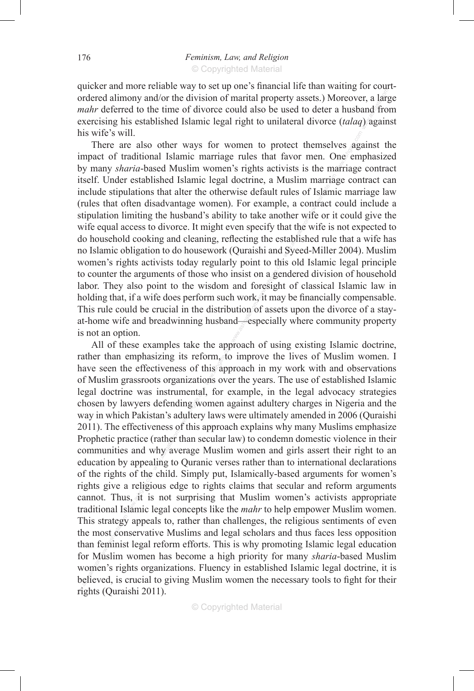ordered alimony and/or the division of marital property assets.) Moreover, a large *mahr* deferred to the time of divorce could also be used to deter a husband from exercising his established Islamic legal right to unilate quicker and more reliable way to set up one's financial life than waiting for court*mahr* deferred to the time of divorce could also be used to deter a husband from exercising his established Islamic legal right to unilateral divorce (*talaq*) against his wife's will.

This rule could be crucial in the distribution of assets upon the divorce of a stay-<br>at-home wife and breadwinning husband—especially where community property<br>is not an option. t to thi<br>on a ger<br>resight<br>it may superiation mining the nascallar 3 dointy to take allotter wife of it codid give the<br>wife equal access to divorce. It might even specify that the wife is not expected to<br>do household cooking and cleaning, reflecting the es itself. Under established Islamic legal doctrine, a Muslim marriage contract can<br>include stipulations that alter the otherwise default rules of Islamic marriage law<br>(rules that often disadvantage women). For example, a con wes<br>age<br>arriage.com<br>arriage.com There are also other ways for women to protect themselves against the impact of traditional Islamic marriage rules that favor men. One emphasized by many *sharia*-based Muslim women's rights activists is the marriage contract include stipulations that alter the otherwise default rules of Islamic marriage law (rules that often disadvantage women). For example, a contract could include a stipulation limiting the husband's ability to take another wife or it could give the do household cooking and cleaning, reflecting the established rule that a wife has no Islamic obligation to do housework (Quraishi and Syeed-Miller 2004). Muslim women's rights activists today regularly point to this old Islamic legal principle to counter the arguments of those who insist on a gendered division of household labor. They also point to the wisdom and foresight of classical Islamic law in holding that, if a wife does perform such work, it may be financially compensable. at-home wife and breadwinning husband—especially where community property is not an option.

women's rights organic<br>believed, is crucial to g<br>rights (Quraishi 2011). wheta<br>st com<br>eminist of the<br>religion<br>s, it is<br>lamic l Prophetic practice (rather than secular law) to condemn domestic violence in their<br>communities and why average Muslim women and girls assert their right to an<br>education by appealing to Quranic verses rather than to interna legal doctrine was instrumental, for example, in the legal advocacy strategies<br>chosen by lawyers defending women against adultery charges in Nigeria and the<br>way in which Pakistan's adultery laws were ultimately amended in All of these examples take the approach of using existing islamic doctrine,<br>rather than emphasizing its reform, to improve the lives of Muslim women. I<br>have seen the effectiveness of this approach in my work with and obser All of these examples take the approach of using existing Islamic doctrine, have seen the effectiveness of this approach in my work with and observations of Muslim grassroots organizations over the years. The use of established Islamic legal doctrine was instrumental, for example, in the legal advocacy strategies chosen by lawyers defending women against adultery charges in Nigeria and the 2011). The effectiveness of this approach explains why many Muslims emphasize communities and why average Muslim women and girls assert their right to an education by appealing to Quranic verses rather than to international declarations of the rights of the child. Simply put, Islamically-based arguments for women's rights give a religious edge to rights claims that secular and reform arguments cannot. Thus, it is not surprising that Muslim women's activists appropriate traditional Islamic legal concepts like the *mahr* to help empower Muslim women. This strategy appeals to, rather than challenges, the religious sentiments of even the most conservative Muslims and legal scholars and thus faces less opposition than feminist legal reform efforts. This is why promoting Islamic legal education for Muslim women has become a high priority for many *sharia*-based Muslim women's rights organizations. Fluency in established Islamic legal doctrine, it is believed, is crucial to giving Muslim women the necessary tools to fight for their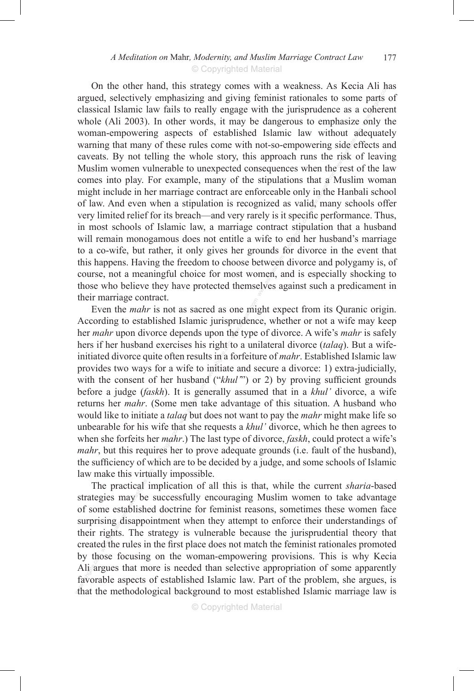etween<br>men, a<br>elves a t specia<br>et stipu<br>end ho<br>for div when we have a comes into play. For example, many of the stipulations that a Muslim woman<br>might include in her marriage contract are enforceable only in the Hanbali school<br>of law. And even when a stipulation is recognized out ad<br>side ef<br>risk of<br>rest o a All **B**<br>e parts<br>cohere<br>only t On the other hand, this strategy comes with a weakness. As Kecia Ali has argued, selectively emphasizing and giving feminist rationales to some parts of classical Islamic law fails to really engage with the jurisprudence as a coherent whole (Ali 2003). In other words, it may be dangerous to emphasize only the woman-empowering aspects of established Islamic law without adequately warning that many of these rules come with not-so-empowering side effects and caveats. By not telling the whole story, this approach runs the risk of leaving Muslim women vulnerable to unexpected consequences when the rest of the law might include in her marriage contract are enforceable only in the Hanbali school of law. And even when a stipulation is recognized as valid, many schools offer very limited relief for its breach—and very rarely is it specific performance. Thus, in most schools of Islamic law, a marriage contract stipulation that a husband will remain monogamous does not entitle a wife to end her husband's marriage to a co-wife, but rather, it only gives her grounds for divorce in the event that this happens. Having the freedom to choose between divorce and polygamy is, of course, not a meaningful choice for most women, and is especially shocking to those who believe they have protected themselves against such a predicament in their marriage contract.

whe un<br>er *mahi*<br>ires he<br>hich an before a judge (*faskh*). It is generally assumed that in a *khul'* divorce, a wife returns her *mahr*. (Some men take advantage of this situation. A husband who would like to initiate a *talaq* but does not want to pay th s right Even the *mahr* is not as sacred as one might expect from its Quranic origin.<br>Even the *mahr* is not as sacred as one might expect from its Quranic origin.<br>*mahr* upon divorce depends upon the type of divorce. A wife's *ma* According to established Islamic jurisprudence, whether or not a wife may keep her *mahr* upon divorce depends upon the type of divorce. A wife's *mahr* is safely hers if her husband exercises his right to a unilateral divorce (*talaq*). But a wifeinitiated divorce quite often results in a forfeiture of *mahr*. Established Islamic law provides two ways for a wife to initiate and secure a divorce: 1) extra-judicially, with the consent of her husband ("*khul*") or 2) by proving sufficient grounds returns her *mahr*. (Some men take advantage of this situation. A husband who would like to initiate a *talaq* but does not want to pay the *mahr* might make life so unbearable for his wife that she requests a *khul'* divorce, which he then agrees to when she forfeits her *mahr*.) The last type of divorce, *faskh*, could protect a wife's *mahr*, but this requires her to prove adequate grounds (i.e. fault of the husband), the sufficiency of which are to be decided by a judge, and some schools of Islamic law make this virtually impossible.

by the<br>Ali ar<br>favora<br>that th me estation<br>sing di<br>d the ru is virtual<br>tical in<br>thishes The practical implication of all this is that, while the current *sharia*-based strategies may be successfully encouraging Muslim women to take advantage of some established doctrine for feminist reasons, sometimes these women face surprising disappointment when they attempt to enforce their understandings of their rights. The strategy is vulnerable because the jurisprudential theory that created the rules in the first place does not match the feminist rationales promoted by those focusing on the woman-empowering provisions. This is why Kecia Ali argues that more is needed than selective appropriation of some apparently favorable aspects of established Islamic law. Part of the problem, she argues, is that the methodological background to most established Islamic marriage law is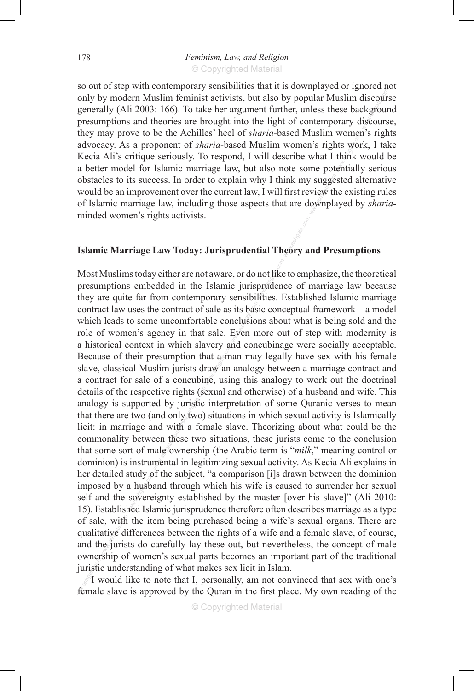obstacles to its success. In order to explain why I think my suggested alternative<br>would be an improvement over the current law, I will first review the existing rules<br>of Islamic marriage law, including those aspects that women<br>ts wor<br>think v<br>entially discour<br>ekgrours<br>cours so out of step with contemporary sensibilities that it is downplayed or ignored not only by modern Muslim feminist activists, but also by popular Muslim discourse generally (Ali 2003: 166). To take her argument further, unless these background presumptions and theories are brought into the light of contemporary discourse, they may prove to be the Achilles' heel of *sharia*-based Muslim women's rights advocacy. As a proponent of *sharia*-based Muslim women's rights work, I take Kecia Ali's critique seriously. To respond, I will describe what I think would be a better model for Islamic marriage law, but also note some potentially serious would be an improvement over the current law, I will first review the existing rules of Islamic marriage law, including those aspects that are downplayed by *sharia*minded women's rights activists.

# www.ashgate.com **Islamic Marriage Law Today: Jurisprudential Theory and Presumptions**

e, with<br>ative di<br>relineer study o<br>a husb:<br>sovere<br>hed Isla where the<br>hale owner details of the respective rights (sexual and otherwise) of a husband and wife. This<br>analogy is supported by juristic interpretation of some Quranic verses to mean<br>that there are two (and only two) situations in which sexua a instorted context in which slavery and concuonage were socially acceptable.<br>Because of their presumption that a man may legally have sex with his female<br>slave, classical Muslim jurists draw an analogy between a marriage contract law uses the contract of sale as its basic conceptual framework—a model<br>which leads to some uncomfortable conclusions about what is being sold and the<br>role of women's agency in that sale. Even more out of step wit www.<br>not like<br>lities. I Most Muslims today either are not aware, or do not like to emphasize, the theoretical presumptions embedded in the Islamic jurisprudence of marriage law because they are quite far from contemporary sensibilities. Established Islamic marriage contract law uses the contract of sale as its basic conceptual framework—a model which leads to some uncomfortable conclusions about what is being sold and the a historical context in which slavery and concubinage were socially acceptable. slave, classical Muslim jurists draw an analogy between a marriage contract and a contract for sale of a concubine, using this analogy to work out the doctrinal details of the respective rights (sexual and otherwise) of a husband and wife. This analogy is supported by juristic interpretation of some Quranic verses to mean licit: in marriage and with a female slave. Theorizing about what could be the commonality between these two situations, these jurists come to the conclusion that some sort of male ownership (the Arabic term is "*milk*," meaning control or dominion) is instrumental in legitimizing sexual activity. As Kecia Ali explains in her detailed study of the subject, "a comparison [i]s drawn between the dominion imposed by a husband through which his wife is caused to surrender her sexual self and the sovereignty established by the master [over his slave]" (Ali 2010: 15). Established Islamic jurisprudence therefore often describes marriage as a type of sale, with the item being purchased being a wife's sexual organs. There are qualitative differences between the rights of a wife and a female slave, of course, and the jurists do carefully lay these out, but nevertheless, the concept of male ownership of women's sexual parts becomes an important part of the traditional juristic understanding of what makes sex licit in Islam.

by the slave is a sexual parts occomes an important part of the traditional<br>juristic understanding of what makes sex licit in Islam.<br>T would like to note that I, personally, am not convinced that sex with one's<br>female slav I would like to note that I, personally, am not convinced that sex with one's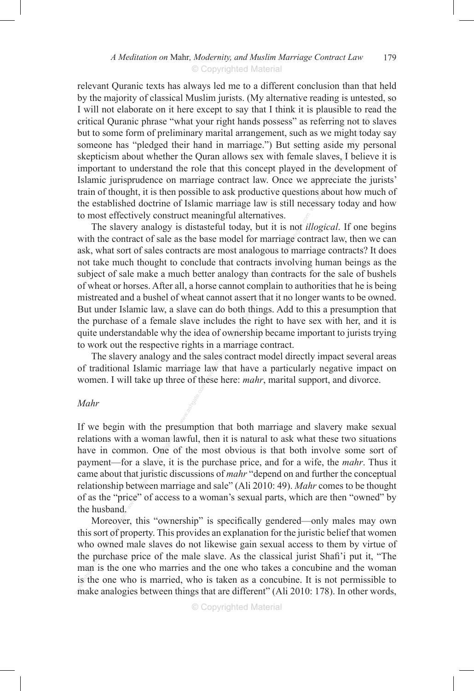Islamic jurisprudence on marriage contract law. Once we appreciate the jurists'<br>Islamic jurisprudence on marriage contract law. Once we appreciate the jurists'<br>train of thought, it is then possible to ask productive questi might t<br>de my<br>s, I bel<br>develor wat need,<br>read t<br>to slav relevant Quranic texts has always led me to a different conclusion than that held by the majority of classical Muslim jurists. (My alternative reading is untested, so I will not elaborate on it here except to say that I think it is plausible to read the critical Ouranic phrase "what your right hands possess" as referring not to slaves but to some form of preliminary marital arrangement, such as we might today say someone has "pledged their hand in marriage.") But setting aside my personal skepticism about whether the Quran allows sex with female slaves, I believe it is important to understand the role that this concept played in the development of train of thought, it is then possible to ask productive questions about how much of the established doctrine of Islamic marriage law is still necessary today and how to most effectively construct meaningful alternatives.

misticated and a busher of wheat cannot assert that it no longer wants to be owned.<br>But under Islamic law, a slave can do both things. Add to this a presumption that<br>the purchase of a female slave includes the right to hav acts in<br>
uan con<br>
mplain<br>
thet it. s not *il*<br>age con The slavery analogy is distasteful today, but it is not *illogical*. If one begins with the contract of sale as the base model for marriage contract law, then we can ask, what sort of sales contracts are most analogous to marriage contracts? It does not take much thought to conclude that contracts involving human beings as the subject of sale make a much better analogy than contracts for the sale of bushels of wheat or horses. After all, a horse cannot complain to authorities that he is being mistreated and a bushel of wheat cannot assert that it no longer wants to be owned. the purchase of a female slave includes the right to have sex with her, and it is quite understandable why the idea of ownership became important to jurists trying to work out the respective rights in a marriage contract.

in a m<br>sales co<br>law that<br>ese her The slavery analogy and the sales contract model directly impact several areas of traditional Islamic marriage law that have a particularly negative impact on women. I will take up three of these here: *mahr*, marital support, and divorce.

#### *Mahr*

hat juri<br>betwee<br>ice" of me pres<br>man la<br>One of<br>we, it i Www.ashgata.com If we begin with the presumption that both marriage and slavery make sexual relations with a woman lawful, then it is natural to ask what these two situations have in common. One of the most obvious is that both involve some sort of payment—for a slave, it is the purchase price, and for a wife, the *mahr*. Thus it came about that juristic discussions of *mahr* "depend on and further the conceptual relationship between marriage and sale" (Ali 2010: 49). *Mahr* comes to be thought of as the "price" of access to a woman's sexual parts, which are then "owned" by the husband.

the pu<br>man is<br>is the<br>make Moreover, this "ownership" is specifically gendered—only males may own<br>this sort of property. This provides an explanation for the juristic belief that women<br>who owned male slaves do not likewise gain sexual access to them Moreover, this "ownership" is specifically gendered—only males may own this sort of property. This provides an explanation for the juristic belief that women the purchase price of the male slave. As the classical jurist Shafi'i put it, "The man is the one who marries and the one who takes a concubine and the woman is the one who is married, who is taken as a concubine. It is not permissible to make analogies between things that are different" (Ali 2010: 178). In other words,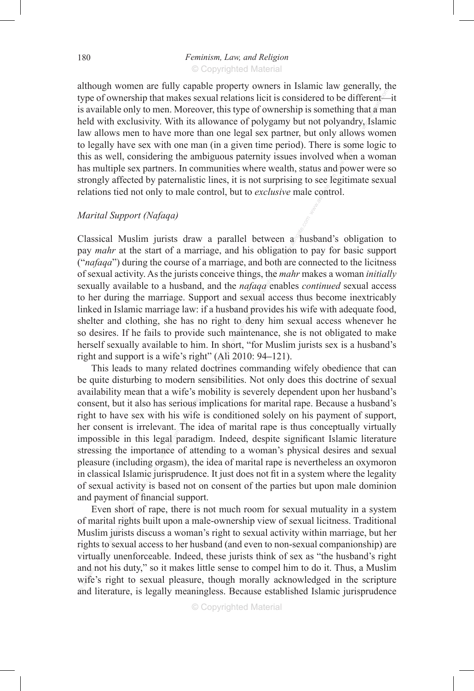#### © Copyrighted Material 180 *Feminism, Law, and Religion*

strongly affected by paternalistic lines, it is not surprising to see legitimate sexual<br>relations tied not only to male control, but to *exclusive* male control.<br>Marital Support (Nafaga) allows<br>is some<br>when a<br>d power  $\text{et}$ <br>is the mata mata m although women are fully capable property owners in Islamic law generally, the type of ownership that makes sexual relations licit is considered to be different  $\mathbb{P}$ -it is available only to men. Moreover, this type of ownership is something that a man held with exclusivity. With its allowance of polygamy but not polyandry, Islamic law allows men to have more than one legal sex partner, but only allows women to legally have sex with one man (in a given time period). There is some logic to this as well, considering the ambiguous paternity issues involved when a woman has multiple sex partners. In communities where wealth, status and power were so relations tied not only to male control, but to *exclusive* male control.

#### *Marital Support (Nafaqa)*

linked in Islamic marriage law: if a husband provides his wife with adequate food, shelter and clothing, she has no right to deny him sexual access whenever he so desires. If he fails to provide such maintenance, she is no d both<br>s, the *n*<br>*qa* ena<br>al acce Classical Muslim jurists draw a parallel between a husband's obligation to pay *mahr* at the start of a marriage, and his obligation to pay for basic support Classical Muslim jurists draw a parallel between a husband's obligation to ("*nafaqa*") during the course of a marriage, and both are connected to the licitness of sexual activity. As the jurists conceive things, the *mahr* makes a woman *initially* sexually available to a husband, and the *nafaqa* enables *continued* sexual access to her during the marriage. Support and sexual access thus become inextricably shelter and clothing, she has no right to deny him sexual access whenever he so desires. If he fails to provide such maintenance, she is not obligated to make herself sexually available to him. In short, "for Muslim jurists sex is a husband's

slamic<br>tivity is<br>t of fina<br>ort of ra impossible in this legal paradigm. Indeed, despite significant Islamic literature stressing the importance of attending to a woman's physical desires and sexual pleasure (including orgasm), the idea of marital rape is neve availability mean that a wife's mobility is severely dependent upon her husband's consent, but it also has serious implications for marital rape. Because a husband's right to have sex with his wife is conditioned solely on right and support is a wife's right" (Ali 2010: 94–121).<br>This leads to many related doctrines commanding<br>be quite disturbing to modern sensibilities. Not only d This leads to many related doctrines commanding wifely obedience that can be quite disturbing to modern sensibilities. Not only does this doctrine of sexual consent, but it also has serious implications for marital rape. Because a husband's right to have sex with his wife is conditioned solely on his payment of support, her consent is irrelevant. The idea of marital rape is thus conceptually virtually stressing the importance of attending to a woman's physical desires and sexual pleasure (including orgasm), the idea of marital rape is nevertheless an oxymoron in classical Islamic jurisprudence. It just does not fit in a system where the legality of sexual activity is based not on consent of the parties but upon male dominion and payment of financial support.

and not his duty," so it makes little sense to compel him to do it. Thus, a Muslim wife's right to sexual pleasure, though morally acknowledged in the scripture and literature, is legally meaningless. Because established I rital rig<br>m juris<br>to sexu Even short of rape, there is not much room for sexual mutuality in a system of marital rights built upon a male-ownership view of sexual licitness. Traditional Muslim jurists discuss a woman's right to sexual activity within marriage, but her rights to sexual access to her husband (and even to non-sexual companionship) are virtually unenforceable. Indeed, these jurists think of sex as "the husband's right wife's right to sexual pleasure, though morally acknowledged in the scripture and literature, is legally meaningless. Because established Islamic jurisprudence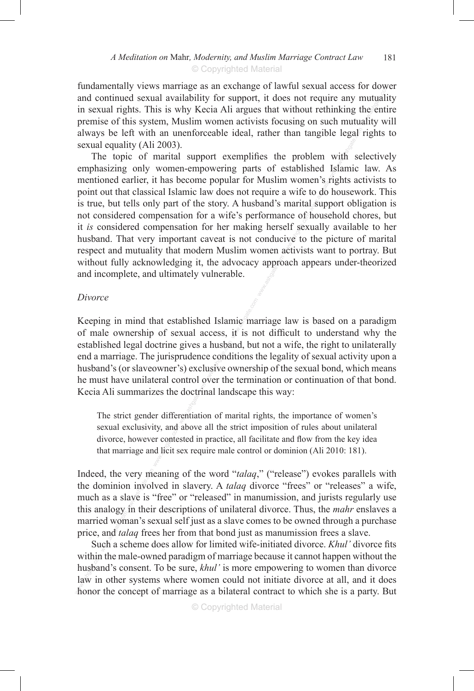ays be left with an unenforceable ideal, rather than tangible legal rights to<br>
ual equality (Ali 2003).<br>
The topic of marital support exemplifies the problem with selectively<br>
phasizing only women-empowering parts of estab or dow<br>nutuali<br>he enti<br>ality w fundamentally views marriage as an exchange of lawful sexual access for dower and continued sexual availability for support, it does not require any mutuality in sexual rights. This is why Kecia Ali argues that without rethinking the entire premise of this system, Muslim women activists focusing on such mutuality will always be left with an unenforceable ideal, rather than tangible legal rights to sexual equality (Ali 2003).

without fully acknowledging it, the advocacy approach appears under-theorized and incomplete, and ultimately vulnerable. nce of<br>elf sex<br>ive to<br>activist emphasially early well and the energy parts of businessment and the mentioned earlier, it has become popular for Muslim women's rights activists to point out that classical Islamic law does not require a wife to do housewo emphasizing only women-empowering parts of established Islamic law. As point out that classical Islamic law does not require a wife to do housework. This is true, but tells only part of the story. A husband's marital support obligation is not considered compensation for a wife's performance of household chores, but it *is* considered compensation for her making herself sexually available to her husband. That very important caveat is not conducive to the picture of marital respect and mutuality that modern Muslim women activists want to portray. But and incomplete, and ultimately vulnerable.

#### *Divorce*

Kecia Ali summarizes the doctrinal landscape this way:<br>The strict gender differentiation of marital rights, the i n husba<br>e cond<br>usive o<br>wer the wic<sup>om</sup><br>it is n Keeping in mind that established Islamic marriage law is based on a paradigm of male ownership of sexual access, it is not difficult to understand why the established legal doctrine gives a husband, but not a wife, the right to unilaterally end a marriage. The jurisprudence conditions the legality of sexual activity upon a husband's (or slaveowner's) exclusive ownership of the sexual bond, which means he must have unilateral control over the termination or continuation of that bond.

www.ander<br>and licit s The strict gender differentiation of marital rights, the importance of women's sexual exclusivity, and above all the strict imposition of rules about unilateral divorce, however contested in practice, all facilitate and flow from the key idea that marriage and licit sex require male control or dominion (Ali 2010: 181).

which a scheme does all self just as a slave comes to be owned through a purchase<br>e, and *talaq* frees her from that bond just as manumission frees a slave.<br>Such a scheme does allow for limited wife-initiated divorce. *Khu* Indeed, the very meaning of the word "*talaq*," ("release") evokes parallels with the dominion involved in slavery. A *talaq* divorce "frees" or "releases" a wife, much as a slave is "free" or "released" in manumission, an Indeed, the very meaning of the word "*talaq*," ("release") evokes parallels with the dominion involved in slavery. A *talaq* divorce "frees" or "releases" a wife, this analogy in their descriptions of unilateral divorce. Thus, the *mahr* enslaves a married woman's sexual self just as a slave comes to be owned through a purchase price, and *talaq* frees her from that bond just as manumission frees a slave.

within<br>husbai<br>law in<br>honor within the male-owned paradigm of marriage because it cannot happen without the husband's consent. To be sure, *khul'* is more empowering to women than divorce law in other systems where women could not initiate divorce at all, and it does honor the concept of marriage as a bilateral contract to which she is a party. But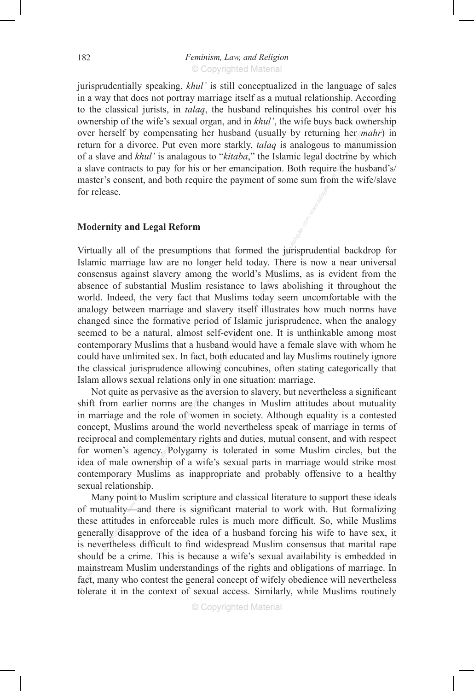#### © Copyrighted Material 182 *Feminism, Law, and Religion*

master's consent, and both require the payment of some sum from the wife/slave<br>for release. g ner<br>to man<br>ctrine l<br>e the hu coordin<br>over 1<br>wnersh jurisprudentially speaking, *khul'* is still conceptualized in the language of sales in a way that does not portray marriage itself as a mutual relationship. According to the classical jurists, in *talaq*, the husband relinquishes his control over his ownership of the wife's sexual organ, and in *khul'*, the wife buys back ownership over herself by compensating her husband (usually by returning her *mahr*) in return for a divorce. Put even more starkly, *talaq* is analogous to manumission of a slave and *khul'* is analagous to "*kitaba*," the Islamic legal doctrine by which a slave contracts to pay for his or her emancipation. Both require the husband's/ for release.

#### **Modernity and Legal Reform**

contemporary muslims that a husband would have a felliale slave with whom he<br>could have unlimited sex. In fact, both educated and lay Muslims routinely ignore<br>the classical jurisprudence allowing concubines, often stating analogy between marriage and slavery itself illustrates how much norms have changed since the formative period of Islamic jurisprudence, when the analogy seemed to be a natural, almost self-evident one. It is unthinkable a lay. Th<br>s Mus!<br>laws<br>pday se Modernity and Legal Reform<br>Virtually all of the presumptions that formed the jurisprudential backdrop for Islamic marriage law are no longer held today. There is now a near universal consensus against slavery among the world's Muslims, as is evident from the absence of substantial Muslim resistance to laws abolishing it throughout the world. Indeed, the very fact that Muslims today seem uncomfortable with the changed since the formative period of Islamic jurisprudence, when the analogy seemed to be a natural, almost self-evident one. It is unthinkable among most contemporary Muslims that a husband would have a female slave with whom he the classical jurisprudence allowing concubines, often stating categorically that Islam allows sexual relations only in one situation: marriage.

reciprocal and complementary rights and duties, mutual consent, and with respect<br>for women's agency. Polygamy is tolerated in some Muslim circles, but the<br>idea of male ownership of a wife's sexual parts in marriage would s as the<br>are the<br>of work Not quite as pervasive as the aversion to slavery, but nevertheless a significant shift from earlier norms are the changes in Muslim attitudes about mutuality in marriage and the role of women in society. Although equality is a contested concept, Muslims around the world nevertheless speak of marriage in terms of for women's agency. Polygamy is tolerated in some Muslim circles, but the idea of male ownership of a wife's sexual parts in marriage would strike most contemporary Muslims as inappropriate and probably offensive to a healthy sexual relationship.

mainstream Muslim understandings of the rights and obligations of marriage. In fact, many who contest the general concept of wifely obedience will nevertheless tolerate it in the context of sexual access. Similarly, while attitude<br>ally dis<br>erthele y Mus<br>onship.<br>int to M<br>—and Many point to Muslim scripture and classical literature to support these ideals of mutuality—and there is significant material to work with. But formalizing these attitudes in enforceable rules is much more difficult. So, while Muslims generally disapprove of the idea of a husband forcing his wife to have sex, it is nevertheless difficult to find widespread Muslim consensus that marital rape should be a crime. This is because a wife's sexual availability is embedded in fact, many who contest the general concept of wifely obedience will nevertheless tolerate it in the context of sexual access. Similarly, while Muslims routinely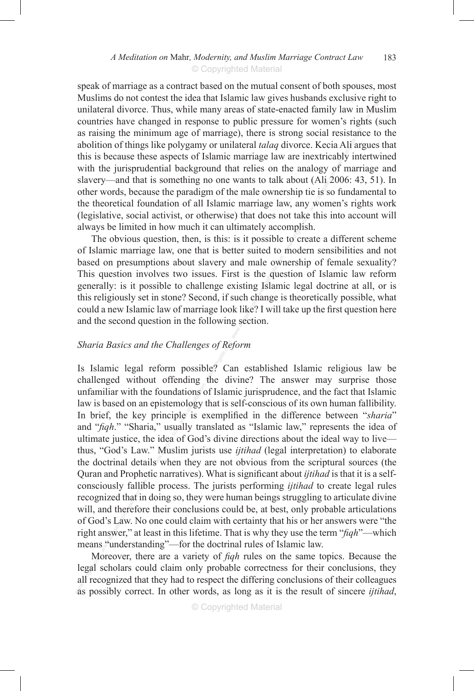slavery—and that is something no one wants to talk about (Ali 2006: 43, 51). In other words, because the paradigm of the male ownership tie is so fundamental to the theoretical foundation of all Islamic marriage law, any esistan<br>a Ali ar<br>ubly int ses, mc<br>e right<br>n Musli<br>hts (su speak of marriage as a contract based on the mutual consent of both spouses, most Muslims do not contest the idea that Islamic law gives husbands exclusive right to unilateral divorce. Thus, while many areas of state-enacted family law in Muslim countries have changed in response to public pressure for women's rights (such as raising the minimum age of marriage), there is strong social resistance to the abolition of things like polygamy or unilateral *talaq* divorce. Kecia Ali argues that this is because these aspects of Islamic marriage law are inextricably intertwined with the jurisprudential background that relies on the analogy of marriage and other words, because the paradigm of the male ownership tie is so fundamental to the theoretical foundation of all Islamic marriage law, any women's rights work (legislative, social activist, or otherwise) that does not take this into account will always be limited in how much it can ultimately accomplish.

whis religiously set in stone? Second, it such change is theoretically possible, what could a new Islamic law of marriage look like? I will take up the first question here and the second question in the following section. ale own<br>he que<br>sham ot take<br>to crear to crear<br>moder The obvious question, then, is this: is it possible to create a different scheme of Islamic marriage law, one that is better suited to modern sensibilities and not based on presumptions about slavery and male ownership of female sexuality? This question involves two issues. First is the question of Islamic law reform generally: is it possible to challenge existing Islamic legal doctrine at all, or is this religiously set in stone? Second, if such change is theoretically possible, what and the second question in the following section.

#### *Sharia Basics and the Challenges of Reform*

me the.<br>d's Lav<br>s "unde ropheti<br>fallible<br>hat in d<br>refore e idea<br>dea compare.<br>when unfamiliar with the foundations of Islamic jurisprudence, and the fact that Islamic<br>law is based on an epistemology that is self-conscious of its own human fallibility.<br>In brief, the key principle is exemplified in the dif s of Re<br>le? Ca<br>the di Is Islamic legal reform possible? Can established Islamic religious law be challenged without offending the divine? The answer may surprise those unfamiliar with the foundations of Islamic jurisprudence, and the fact that Islamic law is based on an epistemology that is self-conscious of its own human fallibility. and "*fiqh*." "Sharia," usually translated as "Islamic law," represents the idea of ultimate justice, the idea of God's divine directions about the ideal way to live thus, "God's Law." Muslim jurists use *ijtihad* (legal interpretation) to elaborate the doctrinal details when they are not obvious from the scriptural sources (the Quran and Prophetic narratives). What is significant about *ijtihad* is that it is a selfconsciously fallible process. The jurists performing *ijtihad* to create legal rules recognized that in doing so, they were human beings struggling to articulate divine will, and therefore their conclusions could be, at best, only probable articulations of God's Law. No one could claim with certainty that his or her answers were "the right answer," at least in this lifetime. That is why they use the term "*fiqh*"—which means "understanding"—for the doctrinal rules of Islamic law.

Mo<br>legal<br>all rec<br>as pos Moreover, there are a variety of *fiqh* rules on the same topics. Because the legal scholars could claim only probable correctness for their conclusions, they all recognized that they had to respect the differing conclusions of their colleagues as possibly correct. In other words, as long as it is the result of sincere *ijtihad*,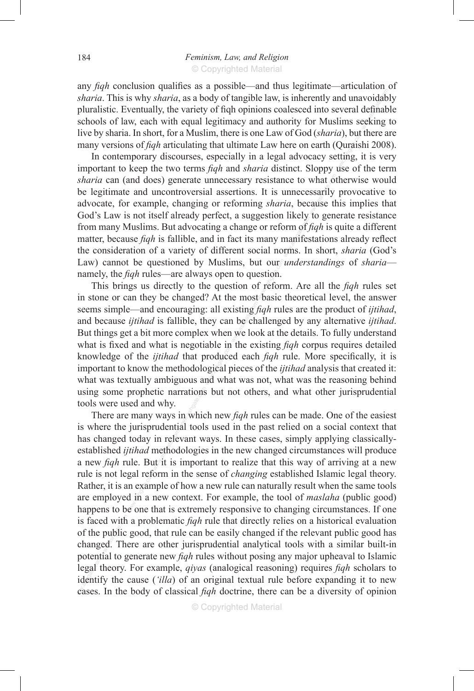woidab<br>definal<br>eeking any *fiqh* conclusion qualifies as a possible—and thus legitimate—articulation of *sharia*. This is why *sharia*, as a body of tangible law, is inherently and unavoidably pluralistic. Eventually, the variety of fiqh opinions coalesced into several definable schools of law, each with equal legitimacy and authority for Muslims seeking to live by sharia. In short, for a Muslim, there is one Law of God (*sharia*), but there are many versions of *fiqh* articulating that ultimate Law here on earth (Quraishi 2008).

ut our<br>estion.<br>f reform From many Muslims. But advocating a change or reform of *fiqh* is quite a different matter, because *fiqh* is fallible, and in fact its many manifestations already reflect the consideration of a variety of different social *sharia* can (and does) generate unnecessary resistance to what otherwise would<br>be legitimate and uncontroversial assertions. It is unnecessarily provocative to<br>advocate, for example, changing or reforming *sharia*, becaus *(a)*, but<br>Qurais<br>etting,<br>use of In contemporary discourses, especially in a legal advocacy setting, it is very important to keep the two terms *fiqh* and *sharia* distinct. Sloppy use of the term be legitimate and uncontroversial assertions. It is unnecessarily provocative to advocate, for example, changing or reforming *sharia*, because this implies that God's Law is not itself already perfect, a suggestion likely to generate resistance matter, because *fiqh* is fallible, and in fact its many manifestations already reflect the consideration of a variety of different social norms. In short, *sharia* (God's Law) cannot be questioned by Muslims, but our *understandings* of *sharia* namely, the *fiqh* rules—are always open to question.

It were used and why.<br>It were used and why.<br>There are many ways in which new *fiqh* rules can be made. One of the easiest<br>where the jurisprudential tools used in the past relied on a social context that avie in<br>produce<br>pgical p<br>nd wha seems simple—and encouraging: all existing *fiqh* rules are the product of *ijtihad*, and because *ijtihad* is fallible, they can be challenged by any alternative *ijtihad*. But things get a bit more complex when we look a This brings us directly to the question of reform. Are all the *fiqh* rules set in stone or can they be changed? At the most basic theoretical level, the answer and because *ijtihad* is fallible, they can be challenged by any alternative *ijtihad*. But things get a bit more complex when we look at the details. To fully understand what is fixed and what is negotiable in the existing *fiqh* corpus requires detailed knowledge of the *ijtihad* that produced each *fiqh* rule. More specifically, it is important to know the methodological pieces of the *ijtihad* analysis that created it: what was textually ambiguous and what was not, what was the reasoning behind using some prophetic narrations but not others, and what other jurisprudential tools were used and why.

bothian to generate hew *juqn* raies whilout posing any major upheaval to islame.<br>legal theory. For example, *qiyas* (analogical reasoning) requires *fiqh* scholars to<br>identify the cause (*'illa*) of an original textual ru ed with<br>public<br>ed. Th gal ref<br>un exam<br>d in a 1<br>e one t in rele<br>in rele<br>at it is is where the jurisprudential tools used in the past relied on a social context that has changed today in relevant ways. In these cases, simply applying classicallyestablished *ijtihad* methodologies in the new changed circumstances will produce a new *fiqh* rule. But it is important to realize that this way of arriving at a new rule is not legal reform in the sense of *changing* established Islamic legal theory. Rather, it is an example of how a new rule can naturally result when the same tools are employed in a new context. For example, the tool of *maslaha* (public good) happens to be one that is extremely responsive to changing circumstances. If one is faced with a problematic *fiqh* rule that directly relies on a historical evaluation of the public good, that rule can be easily changed if the relevant public good has changed. There are other jurisprudential analytical tools with a similar built-in potential to generate new *fiqh* rules without posing any major upheaval to Islamic legal theory. For example, *qiyas* (analogical reasoning) requires *fiqh* scholars to identify the cause (*'illa*) of an original textual rule before expanding it to new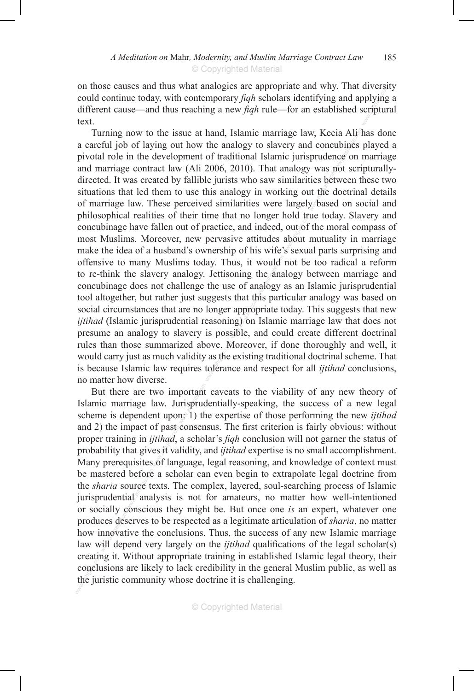diversity<br>pplying<br>scriptui on those causes and thus what analogies are appropriate and why. That diversity could continue today, with contemporary *fiqh* scholars identifying and applying a different cause—and thus reaching a new *fiqh* rule—for an established scriptural text.

wove.  $\mathcal N$  as the toleran woot and gettier, but rather just suggests that this particular analogy was based on<br>social circumstances that are no longer appropriate today. This suggests that new<br>*ijtihad* (Islamic jurisprudential reasoning) on Islami offensive to many Muslims today. Thus, it would not be too radical a reform<br>to re-think the slavery analogy. Jettisoning the analogy between marriage and<br>concubinage does not challenge the use of analogy as an Islamic juri hold tr<br>out of<br>about<br>'s sexua directed. It was created by fallible jurists who saw similarities between these two situations that led them to use this analogy in working out the doctrinal details of marriage law. These perceived similarities were large ia Ali<br>ubines<br>not seri Turning now to the issue at hand, Islamic marriage law, Kecia Ali has done a careful job of laying out how the analogy to slavery and concubines played a pivotal role in the development of traditional Islamic jurisprudence on marriage and marriage contract law (Ali 2006, 2010). That analogy was not scripturallysituations that led them to use this analogy in working out the doctrinal details of marriage law. These perceived similarities were largely based on social and philosophical realities of their time that no longer hold true today. Slavery and concubinage have fallen out of practice, and indeed, out of the moral compass of most Muslims. Moreover, new pervasive attitudes about mutuality in marriage make the idea of a husband's ownership of his wife's sexual parts surprising and to re-think the slavery analogy. Jettisoning the analogy between marriage and concubinage does not challenge the use of analogy as an Islamic jurisprudential tool altogether, but rather just suggests that this particular analogy was based on *ijtihad* (Islamic jurisprudential reasoning) on Islamic marriage law that does not presume an analogy to slavery is possible, and could create different doctrinal rules than those summarized above. Moreover, if done thoroughly and well, it would carry just as much validity as the existing traditional doctrinal scheme. That is because Islamic law requires tolerance and respect for all *ijtihad* conclusions, no matter how diverse.

creature<br>conclude<br>the jun where the search of the search of the search of the search of the search of the search of the search of the search of the search of the search of the search of the search of the search of the search of the search of the se be mastered before a scholar can even begin to extrapolate legal doctrine from<br>the *sharia* source texts. The complex, layered, soul-searching process of Islamic<br>jurisprudential analysis is not for amateurs, no matter how n past<br>*itihad*,<br>es it va<br>of lan But there are two important caveats to the viability of any new theory of mic marriage law. Jurisprudentially-speaking, the success of a new legal eme is dependent upon: 1) the expertise of those performing the new *ijtiha* Islamic marriage law. Jurisprudentially-speaking, the success of a new legal scheme is dependent upon: 1) the expertise of those performing the new *ijtihad* and 2) the impact of past consensus. The first criterion is fairly obvious: without proper training in *ijtihad*, a scholar's *fiqh* conclusion will not garner the status of probability that gives it validity, and *ijtihad* expertise is no small accomplishment. Many prerequisites of language, legal reasoning, and knowledge of context must be mastered before a scholar can even begin to extrapolate legal doctrine from the *sharia* source texts. The complex, layered, soul-searching process of Islamic or socially conscious they might be. But once one *is* an expert, whatever one produces deserves to be respected as a legitimate articulation of *sharia*, no matter how innovative the conclusions. Thus, the success of any new Islamic marriage law will depend very largely on the *ijtihad* qualifications of the legal scholar(s) creating it. Without appropriate training in established Islamic legal theory, their conclusions are likely to lack credibility in the general Muslim public, as well as the juristic community whose doctrine it is challenging.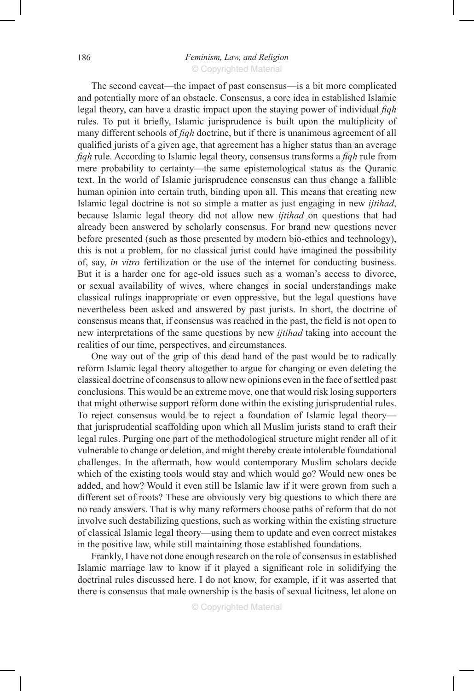### 186 *Feminism, Law, and Religion*

© Copyrighted Material

 $\frac{1}{\pi}$  by particles e interi<br>h as a<br>ges in<br>ssive. because islame legal dictify the not dilow hew *funda* on questions had nated<br>already been answered by scholarly consensus. For brand new questions never<br>before presented (such as those presented by modern bio-ethics and t text. In the world of Islamic jurisprudence consensus can thus change a fallible<br>human opinion into certain truth, binding upon all. This means that creating new<br>Islamic legal doctrine is not so simple a matter as just eng agreem<br>than ar<br>a *fiqh* 1<br>as the d Islam<br>idual  $\hat{f}$ The second caveat—the impact of past consensus—is a bit more complicated and potentially more of an obstacle. Consensus, a core idea in established Islamic legal theory, can have a drastic impact upon the staying power of individual *fiqh* rules. To put it briefly, Islamic jurisprudence is built upon the multiplicity of many different schools of *fiqh* doctrine, but if there is unanimous agreement of all qualified jurists of a given age, that agreement has a higher status than an average *fiqh* rule. According to Islamic legal theory, consensus transforms a *fiqh* rule from mere probability to certainty—the same epistemological status as the Quranic human opinion into certain truth, binding upon all. This means that creating new Islamic legal doctrine is not so simple a matter as just engaging in new *ijtihad*, because Islamic legal theory did not allow new *ijtihad* on questions that had already been answered by scholarly consensus. For brand new questions never before presented (such as those presented by modern bio-ethics and technology), of, say, *in vitro* fertilization or the use of the internet for conducting business. But it is a harder one for age-old issues such as a woman's access to divorce, or sexual availability of wives, where changes in social understandings make classical rulings inappropriate or even oppressive, but the legal questions have nevertheless been asked and answered by past jurists. In short, the doctrine of consensus means that, if consensus was reached in the past, the field is not open to new interpretations of the same questions by new *ijtihad* taking into account the realities of our time, perspectives, and circumstances.

we such<br>ssical I<br>positive which of the existing tools would stay and which would go? Would new ones be added, and how? Would it even still be Islamic law if it were grown from such a different set of roots? These are obviously very big questions to where the Purging one part of the methodological structure might render all of it vulnerable to change or deletion, and might thereby create intolerable foundational challenges. In the aftermath, how would contemporary Mus e an ext<br>ort refc<br>ld be t s, and distributions determined<br>gether that<br>allow to One way out of the grip of this dead hand of the past would be to radically reform Islamic legal theory altogether to argue for changing or even deleting the classical doctrine of consensus to allow new opinions even in the face of settled past conclusions. This would be an extreme move, one that would risk losing supporters that might otherwise support reform done within the existing jurisprudential rules. To reject consensus would be to reject a foundation of Islamic legal theory that jurisprudential scaffolding upon which all Muslim jurists stand to craft their vulnerable to change or deletion, and might thereby create intolerable foundational challenges. In the aftermath, how would contemporary Muslim scholars decide which of the existing tools would stay and which would go? Would new ones be added, and how? Would it even still be Islamic law if it were grown from such a different set of roots? These are obviously very big questions to which there are involve such destabilizing questions, such as working within the existing structure of classical Islamic legal theory—using them to update and even correct mistakes in the positive law, while still maintaining those established foundations.

Islamic marriage law to know if it played a significant role in solidifying the doctrinal rules discussed here. I do not know, for example, if it was asserted that there is consensus that male ownership is the basis of sex Frankly, I have not done enough research on the role of consensus in established doctrinal rules discussed here. I do not know, for example, if it was asserted that there is consensus that male ownership is the basis of sexual licitness, let alone on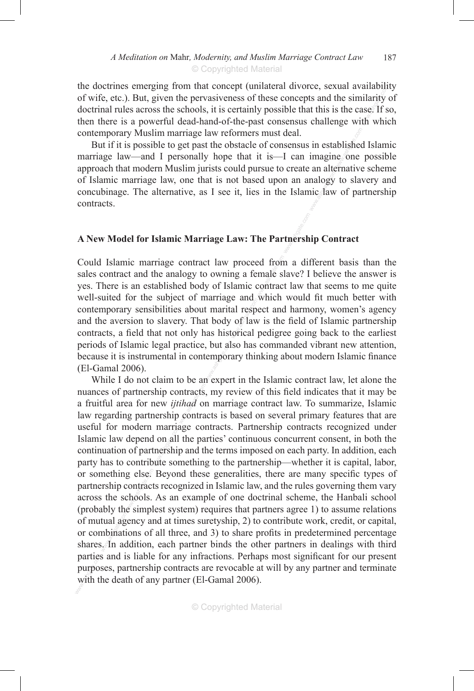anaom<br>ilarity<br>ase. If s<br>th whi the doctrines emerging from that concept (unilateral divorce, sexual availability of wife, etc.). But, given the pervasiveness of these concepts and the similarity of doctrinal rules across the schools, it is certainly possible that this is the case. If so, then there is a powerful dead-hand-of-the-past consensus challenge with which contemporary Muslim marriage law reformers must deal.

when the marriage law, one that is not based upon an analogy to slavery and concubinage. The alternative, as I see it, lies in the Islamic law of partnership contracts. whished<br>whished.com<br>ashative.com But if it is possible to get past the obstacle of consensus in established Islamic marriage law—and I personally hope that it is—I can imagine one possible approach that modern Muslim jurists could pursue to create an alternative scheme concubinage. The alternative, as I see it, lies in the Islamic law of partnership contracts.

## www.ashgate.com<br>ashgate.com **A New Model for Islamic Marriage Law: The Partnership Contract**

, but al<br>empora<br>n exner wen-suited for the stoject of marriage and which would in much octter with<br>contemporary sensibilities about marital respect and harmony, women's agency<br>and the aversion to slavery. That body of law is the field of Islamic ed from<br>male s<br>contrac Could Islamic marriage contract law proceed from a different basis than the sales contract and the analogy to owning a female slave? I believe the answer is yes. There is an established body of Islamic contract law that seems to me quite well-suited for the subject of marriage and which would fit much better with and the aversion to slavery. That body of law is the field of Islamic partnership contracts, a field that not only has historical pedigree going back to the earliest periods of Islamic legal practice, but also has commanded vibrant new attention, because it is instrumental in contemporary thinking about modern Islamic finance (El-Gamal 2006).

parties<br>purpos<br>with the of mutual agency and at times suretyship, 2) to contribute work, credit, or capital, or combinations of all three, and 3) to share profits in predetermined percentage shares. In addition, each partner binds the other partn g else.<br>contract:<br>chools. marria<br>comall<br>thership nuances of partnership contracts, my review of this field indicates that it may be<br>a fruitful area for new *ijtihad* on marriage contract law. To summarize, Islamic<br>law regarding partnership contracts is based on several p While I do not claim to be an expert in the Islamic contract law, let alone the a fruitful area for new *ijtihad* on marriage contract law. To summarize, Islamic law regarding partnership contracts is based on several primary features that are useful for modern marriage contracts. Partnership contracts recognized under Islamic law depend on all the parties' continuous concurrent consent, in both the continuation of partnership and the terms imposed on each party. In addition, each party has to contribute something to the partnership—whether it is capital, labor, or something else. Beyond these generalities, there are many specific types of partnership contracts recognized in Islamic law, and the rules governing them vary across the schools. As an example of one doctrinal scheme, the Hanbali school (probably the simplest system) requires that partners agree 1) to assume relations of mutual agency and at times suretyship, 2) to contribute work, credit, or capital, or combinations of all three, and 3) to share profits in predetermined percentage parties and is liable for any infractions. Perhaps most significant for our present purposes, partnership contracts are revocable at will by any partner and terminate with the death of any partner (El-Gamal 2006).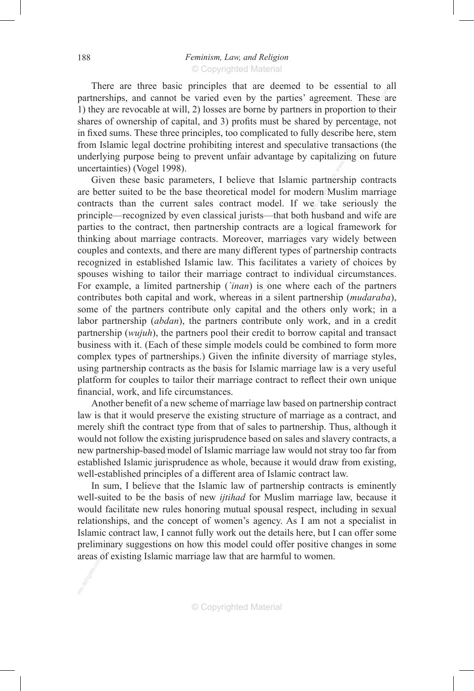cribe n<br>ransact<br>lizing o hese a<br>n to the<br>tage, n There are three basic principles that are deemed to be essential to all partnerships, and cannot be varied even by the parties' agreement. These  $\hat{a}$  are 1) they are revocable at will, 2) losses are borne by partners in proportion to their shares of ownership of capital, and 3) profits must be shared by percentage, not in fixed sums. These three principles, too complicated to fully describe here, stem from Islamic legal doctrine prohibiting interest and speculative transactions (the underlying purpose being to prevent unfair advantage by capitalizing on future uncertainties) (Vogel 1998).

simple<br>Given<br>e basis<br>eir mai some of the partners contribute only capital and the others only work; in a labor partnership (*abdan*), the partners contribute only work, and in a credit arthership (*wujuh*), the partners pool their credit to borrow cap facilita<br>ntract t<br>is one<br>in a sil parties to the contract, then partnership contracts are a logical framework for thinking about marriage contracts. Moreover, marriages vary widely between couples and contexts, and there are many different types of partner Given these basic parameters, I believe that Islamic partnership contracts<br>better suited to be the base theoretical model for modern Muslim marriage<br>tracts than the current sales contract model. If we take seriously the<br>pa are better suited to be the base theoretical model for modern Muslim marriage contracts than the current sales contract model. If we take seriously the principle—recognized by even classical jurists—that both husband and wife are thinking about marriage contracts. Moreover, marriages vary widely between couples and contexts, and there are many different types of partnership contracts recognized in established Islamic law. This facilitates a variety of choices by spouses wishing to tailor their marriage contract to individual circumstances. For example, a limited partnership (*`inan*) is one where each of the partners contributes both capital and work, whereas in a silent partnership (*mudaraba*), labor partnership (*abdan*), the partners contribute only work, and in a credit partnership (*wujuh*), the partners pool their credit to borrow capital and transact business with it. (Each of these simple models could be combined to form more complex types of partnerships.) Given the infinite diversity of marriage styles, using partnership contracts as the basis for Islamic marriage law is a very useful platform for couples to tailor their marriage contract to reflect their own unique financial, work, and life circumstances.

would not follow the existing jurisprudence based on sales and slavery contracts, a new partnership-based model of Islamic marriage law would not stray too far from established Islamic jurisprudence as whole, because it wo ircums<br>www.sche<br>vne fro Another benefit of a new scheme of marriage law based on partnership contract law is that it would preserve the existing structure of marriage as a contract, and merely shift the contract type from that of sales to partnership. Thus, although it new partnership-based model of Islamic marriage law would not stray too far from established Islamic jurisprudence as whole, because it would draw from existing, well-established principles of a different area of Islamic contract law.

Website Maria relationships, and the concept of women's agency. As I am not a specialist in Islamic contract law, I cannot fully work out the details here, but I can offer some preliminary suggestions on how this model could offer posit hed pri<br>I believ<br>to be tl<br>tate nev In sum, I believe that the Islamic law of partnership contracts is eminently well-suited to be the basis of new *ijtihad* for Muslim marriage law, because it would facilitate new rules honoring mutual spousal respect, including in sexual relationships, and the concept of women's agency. As I am not a specialist in Islamic contract law, I cannot fully work out the details here, but I can offer some areas of existing Islamic marriage law that are harmful to women.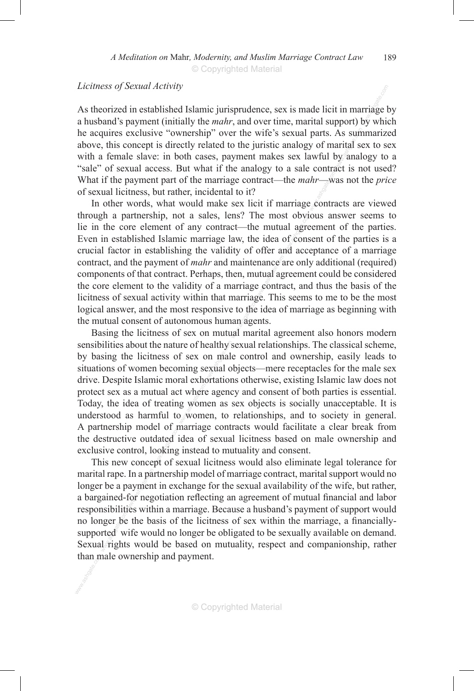*A Meditation on* Mahr*, Modernity, and Muslim Marriage Contract Law* 189

© Copyrighted Material

#### *Licitness of Sexual Activity*

What if the payment part of the marriage contract—the *mahr*—was not the *price*<br>of sexual licitness, but rather, incidental to it?<br>In other words, what would make sex licit if marriage contracts are viewed As sun<br>arital s<br>by anal ي<br>rriage l<br>by whi As theorized in established Islamic jurisprudence, sex is made licit in marriage by a husband's payment (initially the *mahr*, and over time, marital support) by which he acquires exclusive "ownership" over the wife's sexual parts. As summarized above, this concept is directly related to the juristic analogy of marital sex to sex with a female slave: in both cases, payment makes sex lawful by analogy to a "sale" of sexual access. But what if the analogy to a sale contract is not used? of sexual licitness, but rather, incidental to it?

logical answer, and the most responsive to the idea of marriage as beginning with<br>the mutual consent of autonomous human agents.<br>Basing the licitness of sex on mutual marital agreement also honors modern mance a<br>utual age<br>contractive. st oby<br>al agre<br>of cons<br>nd acc In other words, what would make sex licit if marriage contracts are viewed through a partnership, not a sales, lens? The most obvious answer seems to lie in the core element of any contract—the mutual agreement of the parties. Even in established Islamic marriage law, the idea of consent of the parties is a crucial factor in establishing the validity of offer and acceptance of a marriage contract, and the payment of *mahr* and maintenance are only additional (required) components of that contract. Perhaps, then, mutual agreement could be considered the core element to the validity of a marriage contract, and thus the basis of the licitness of sexual activity within that marriage. This seems to me to be the most the mutual consent of autonomous human agents.

er or red<br>dated<br>ooking<br>pt of s protect sex as a mutual act where agency and consent of both parties is essential.<br>Today, the idea of treating women as sex objects is socially unacceptable. It is understood as harmful to women, to relationships, and to s ealthy<br>on mal<br>exual c<br>ortation Basing the licitness of sex on mutual marital agreement also honors modern sensibilities about the nature of healthy sexual relationships. The classical scheme, by basing the licitness of sex on male control and ownership, easily leads to situations of women becoming sexual objects—mere receptacles for the male sex drive. Despite Islamic moral exhortations otherwise, existing Islamic law does not protect sex as a mutual act where agency and consent of both parties is essential. Today, the idea of treating women as sex objects is socially unacceptable. It is A partnership model of marriage contracts would facilitate a clear break from the destructive outdated idea of sexual licitness based on male ownership and exclusive control, looking instead to mutuality and consent.

than male ownership and payment. www.<br>nger be<br>I right: In a pa<br>aymen<br>for neg This new concept of sexual licitness would also eliminate legal tolerance for marital rape. In a partnership model of marriage contract, marital support would no longer be a payment in exchange for the sexual availability of the wife, but rather, a bargained-for negotiation reflecting an agreement of mutual financial and labor responsibilities within a marriage. Because a husband's payment of support would no longer be the basis of the licitness of sex within the marriage, a financiallysupported wife would no longer be obligated to be sexually available on demand. Sexual rights would be based on mutuality, respect and companionship, rather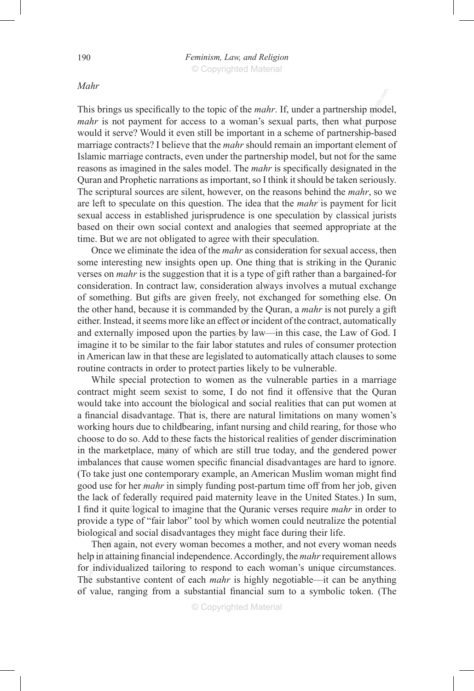© Copyrighted Material

#### *Mahr*

based on their own social context and analogies that seemed appropriate at the time. But we are not obligated to agree with their speculation.<br>Once we eliminate the idea of the *mahr* as consideration for sexual access, t build be<br>ehind the ship is possible. would it serve? Would it even still be important in a scheme of partnership-based<br>marriage contracts? I believe that the *mahr* should remain an important element of<br>Islamic marriage contracts, even under the partnership m www.<br>www.purpo.<br>com This brings us specifically to the topic of the *mahr*. If, under a partnership model, *mahr* is not payment for access to a woman's sexual parts, then what purpose would it serve? Would it even still be important in a scheme of partnership-based marriage contracts? I believe that the *mahr* should remain an important element of Islamic marriage contracts, even under the partnership model, but not for the same Quran and Prophetic narrations as important, so I think it should be taken seriously. The scriptural sources are silent, however, on the reasons behind the *mahr*, so we are left to speculate on this question. The idea that the *mahr* is payment for licit sexual access in established jurisprudence is one speculation by classical jurists time. But we are not obligated to agree with their speculation.

r rabor<br>legisla<br>ect par<br>womer the other hand, because it is commanded by the Quran, a *mahr* is not purely a gift either. Instead, it seems more like an effect or incident of the contract, automatically and externally imposed upon the parties by law—in thing th<br>be of gi<br>always<br>exchai Once we eliminate the idea of the *mahr* as consideration for sexual access, then some interesting new insights open up. One thing that is striking in the Quranic verses on *mahr* is the suggestion that it is a type of gift rather than a bargained-for consideration. In contract law, consideration always involves a mutual exchange of something. But gifts are given freely, not exchanged for something else. On either. Instead, it seems more like an effect or incident of the contract, automatically and externally imposed upon the parties by law—in this case, the Law of God. I imagine it to be similar to the fair labor statutes and rules of consumer protection in American law in that these are legislated to automatically attach clauses to some routine contracts in order to protect parties likely to be vulnerable.

de a type<br>gical an<br>en aga one combined<br>explored the logical policies www.<br>d to the<br>many<br>use word contract might seem sexist to some, I do not find it offensive that the Quran would take into account the biological and social realities that can put women at a financial disadvantage. That is, there are natural limitatio While special protection to women as the vulnerable parties in a marriage contract might seem sexist to some, I do not find it offensive that the Quran would take into account the biological and social realities that can put women at working hours due to childbearing, infant nursing and child rearing, for those who choose to do so. Add to these facts the historical realities of gender discrimination in the marketplace, many of which are still true today, and the gendered power imbalances that cause women specific financial disadvantages are hard to ignore. (To take just one contemporary example, an American Muslim woman might find good use for her *mahr* in simply funding post-partum time off from her job, given the lack of federally required paid maternity leave in the United States.) In sum, I find it quite logical to imagine that the Quranic verses require *mahr* in order to provide a type of "fair labor" tool by which women could neutralize the potential biological and social disadvantages they might face during their life.

for individualized tailoring to respond to each woman's unique circumstances.<br>The substantive content of each *mahr* is highly negotiable—it can be anything of value, ranging from a substantial financial sum to a symbolic Then again, not every woman becomes a mother, and not every woman needs help in attaining financial independence. Accordingly, the *mahr* requirement allows The substantive content of each *mahr* is highly negotiable—it can be anything of value, ranging from a substantial financial sum to a symbolic token. (The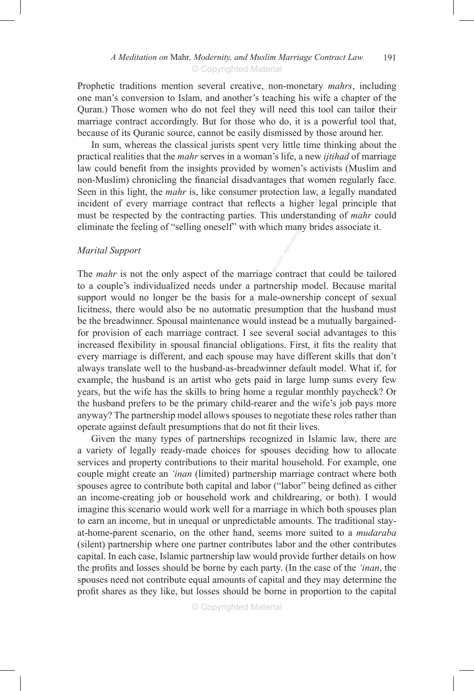mendia<br>ter of t<br>ilor the<br>tool the Prophetic traditions mention several creative, non-monetary *mahrs*, including one man's conversion to Islam, and another's teaching his wife a chapter of the Quran.) Those women who do not feel they will need this tool can tailor their marriage contract accordingly. But for those who do, it is a powerful tool that, because of its Quranic source, cannot be easily dismissed by those around her.

underst<br>many which come come non-Muslim) chronicling the financial disadvantages that women regularly face.<br>Seen in this light, the *mahr* is, like consumer protection law, a legally mandated incident of every marriage contract that re because of its Quranic source, cannot be easily dismissed by those around her.<br>In sum, whereas the classical jurists spent very little time thinking about the practical realities that the *mahr* serves in a woman's life, a In sum, whereas the classical jurists spent very little time thinking about the law could benefit from the insights provided by women's activists (Muslim and Seen in this light, the *mahr* is, like consumer protection law, a legally mandated incident of every marriage contract that reflects a higher legal principle that must be respected by the contracting parties. This understanding of *mahr* could eliminate the feeling of "selling oneself" with which many brides associate it.

#### *Marital Support*

years, but the wife has the skills to bring home a regular monthly paycheck? Or the husband prefers to be the primary child-rearer and the wife's job pays more anyway? The partnership model allows spouses to negotiate thes financia<br>each sp<br>band-as<br>st who support would no longer be the basis for a mare-ownersing concept or sexual<br>licitness, there would also be no automatic presumption that the husband must<br>be the breadwinner. Spousal maintenance would instead be a mutually iage<sup>co</sup><br>vartners The *mahr* is not the only aspect of the marriage contract that could be tailored to a couple's individualized needs under a partnership model. Because marital support would no longer be the basis for a male-ownership concept of sexual be the breadwinner. Spousal maintenance would instead be a mutually bargainedfor provision of each marriage contract. I see several social advantages to this increased flexibility in spousal financial obligations. First, it fits the reality that every marriage is different, and each spouse may have different skills that don't always translate well to the husband-as-breadwinner default model. What if, for example, the husband is an artist who gets paid in large lump sums every few the husband prefers to be the primary child-rearer and the wife's job pays more anyway? The partnership model allows spouses to negotiate these roles rather than operate against default presumptions that do not fit their lives.

capita<br>the pro<br>spouse<br>profit magne and secularly would work were contributed in which coursposes plant<br>to earn an income, but in unequal or unpredictable amounts. The traditional stay-<br>at-home-parent scenario, on the other hand, seems more suited to a t create<br>e to co<br>reating aun pre<br>y types<br>y ready<br>rty con Given the many types of partnerships recognized in Islamic law, there are a variety of legally ready-made choices for spouses deciding how to allocate services and property contributions to their marital household. For example, one couple might create an *'inan* (limited) partnership marriage contract where both spouses agree to contribute both capital and labor ("labor" being defined as either an income-creating job or household work and childrearing, or both). I would imagine this scenario would work well for a marriage in which both spouses plan to earn an income, but in unequal or unpredictable amounts. The traditional stayat-home-parent scenario, on the other hand, seems more suited to a *mudaraba* capital. In each case, Islamic partnership law would provide further details on how the profits and losses should be borne by each party. (In the case of the *'inan*, the spouses need not contribute equal amounts of capital and they may determine the profit shares as they like, but losses should be borne in proportion to the capital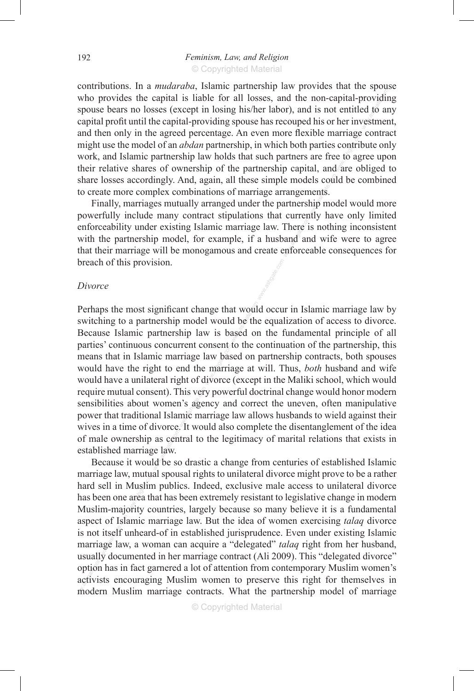share losses accordingly. And, again, all these simple models could be combined<br>to create more complex combinations of marriage arrangements.<br>Finally, marriages mutually arranged under the partnership model would more arriage<br>contril<br>e to ag<br>l are ol where the providing the comparison of the set of the set of the set of the results. contributions. In a *mudaraba*, Islamic partnership law provides that the spouse who provides the capital is liable for all losses, and the non-capital-providing spouse bears no losses (except in losing his/her labor), and is not entitled to any capital profit until the capital-providing spouse has recouped his or her investment, and then only in the agreed percentage. An even more flexible marriage contract might use the model of an *abdan* partnership, in which both parties contribute only work, and Islamic partnership law holds that such partners are free to agree upon their relative shares of ownership of the partnership capital, and are obliged to to create more complex combinations of marriage arrangements.

provertany include many contract suppractions that carteriny have only infinited<br>enforceability under existing Islamic marriage law. There is nothing inconsistent<br>with the partnership model, for example, if a husband and w Finally, marriages mutually arranged under the partnership model would more powerfully include many contract stipulations that currently have only limited with the partnership model, for example, if a husband and wife were to agree that their marriage will be monogamous and create enforceable consequences for breach of this provision.

#### *Divorce*

of male ownership as central to the legitimacy of marital relations that exists in established marriage law.<br>Because it would be so drastic a change from centuries of established Islamic require mutual consent). This very powerful doctrinal change would honor modern<br>sensibilities about women's agency and correct the uneven, often manipulative<br>power that traditional Islamic marriage law allows husbands to w parties committed concurrent consent to the continuation of the partnership, this<br>means that in Islamic marriage law based on partnership contracts, both spouses<br>would have the right to end the marriage at will. Thus, *bot* Perhaps the most significant change that would occur in Islamic marriage law by switching to a partnership model would be the equalization of access to divorce. Because Islamic partnership law is based on the fundamental p switching to a partnership model would be the equalization of access to divorce. Because Islamic partnership law is based on the fundamental principle of all parties' continuous concurrent consent to the continuation of the partnership, this would have the right to end the marriage at will. Thus, *both* husband and wife would have a unilateral right of divorce (except in the Maliki school, which would require mutual consent). This very powerful doctrinal change would honor modern sensibilities about women's agency and correct the uneven, often manipulative wives in a time of divorce. It would also complete the disentanglement of the idea established marriage law.

waany documented in her marriage contract (Ari 2007). This detegated divorce<br>option has in fact garnered a lot of attention from contemporary Muslim women's<br>activists encouraging Muslim women to preserve this right for the t of Isla<br>itself u<br>nge law y, mutua<br>Muslin<br>area th<br>ority co Because it would be so drastic a change from centuries of established Islamic marriage law, mutual spousal rights to unilateral divorce might prove to be a rather hard sell in Muslim publics. Indeed, exclusive male access to unilateral divorce has been one area that has been extremely resistant to legislative change in modern Muslim-majority countries, largely because so many believe it is a fundamental aspect of Islamic marriage law. But the idea of women exercising *talaq* divorce is not itself unheard-of in established jurisprudence. Even under existing Islamic marriage law, a woman can acquire a "delegated" *talaq* right from her husband, usually documented in her marriage contract (Ali 2009). This "delegated divorce" activists encouraging Muslim women to preserve this right for themselves in modern Muslim marriage contracts. What the partnership model of marriage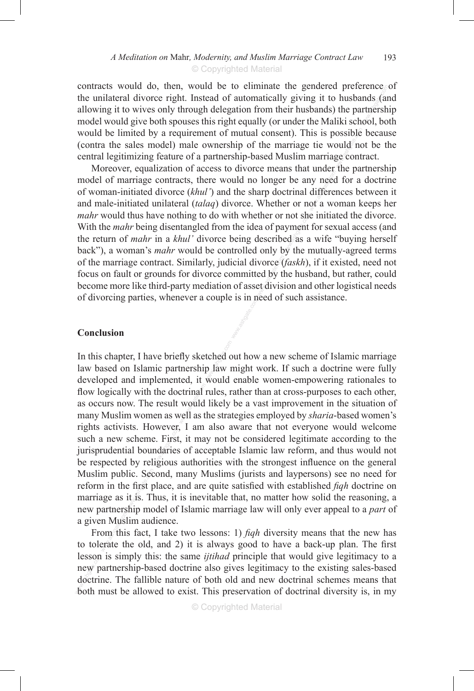ossible<br>build not<br>ge cont erence<br>mds (an<br>rtnersh<br>wol, bo contracts would do, then, would be to eliminate the gendered preference of the unilateral divorce right. Instead of automatically giving it to husbands (and allowing it to wives only through delegation from their husbands) the partnership model would give both spouses this right equally (or under the Maliki school, both would be limited by a requirement of mutual consent). This is possible because (contra the sales model) male ownership of the marriage tie would not be the central legitimizing feature of a partnership-based Muslim marriage contract.

**W.ashgate.com** worce (<br>ed by t<br>et divis not sh<br>interval as a<br>by the 1 model of marriage contracts, there would no longer be any need for a doctrine<br>of woman-initiated divorce  $(khul')$  and the sharp doctrinal differences between it<br>and male-initiated unilateral  $(talaq)$  divorce. Whether or not a Moreover, equalization of access to divorce means that under the partnership of woman-initiated divorce (*khul'*) and the sharp doctrinal differences between it and male-initiated unilateral (*talaq*) divorce. Whether or not a woman keeps her *mahr* would thus have nothing to do with whether or not she initiated the divorce. With the *mahr* being disentangled from the idea of payment for sexual access (and the return of *mahr* in a *khul'* divorce being described as a wife "buying herself back"), a woman's *mahr* would be controlled only by the mutually-agreed terms of the marriage contract. Similarly, judicial divorce (*faskh*), if it existed, need not focus on fault or grounds for divorce committed by the husband, but rather, could become more like third-party mediation of asset division and other logistical needs of divorcing parties, whenever a couple is in need of such assistance.

#### **Conclusion**

lic. Sec<br>e first p<br>it is. T<br>thin me wever<br>e. First<br>ndaries<br>ligious flow logically with the doctrinal rules, rather than at cross-purposes to each other, as occurs now. The result would likely be a vast improvement in the situation of many Muslim women as well as the strategies employed by tched c<br>p law 1<br>would In this chapter, I have briefly sketched out how a new scheme of Islamic marriage law based on Islamic partnership law might work. If such a doctrine were fully developed and implemented, it would enable women-empowering rationales to as occurs now. The result would likely be a vast improvement in the situation of many Muslim women as well as the strategies employed by *sharia*-based women's rights activists. However, I am also aware that not everyone would welcome such a new scheme. First, it may not be considered legitimate according to the jurisprudential boundaries of acceptable Islamic law reform, and thus would not be respected by religious authorities with the strongest influence on the general Muslim public. Second, many Muslims (jurists and laypersons) see no need for reform in the first place, and are quite satisfied with established *fiqh* doctrine on marriage as it is. Thus, it is inevitable that, no matter how solid the reasoning, a new partnership model of Islamic marriage law will only ever appeal to a *part* of a given Muslim audience.

lesson<br>new p<br>doctrin<br>both r ment<br>in Musl<br>erate the From this fact, I take two lessons: 1) *fiqh* diversity means that the new has to tolerate the old, and 2) it is always good to have a back-up plan. The first lesson is simply this: the same *ijtihad* principle that would give legitimacy to a new partnership-based doctrine also gives legitimacy to the existing sales-based doctrine. The fallible nature of both old and new doctrinal schemes means that both must be allowed to exist. This preservation of doctrinal diversity is, in my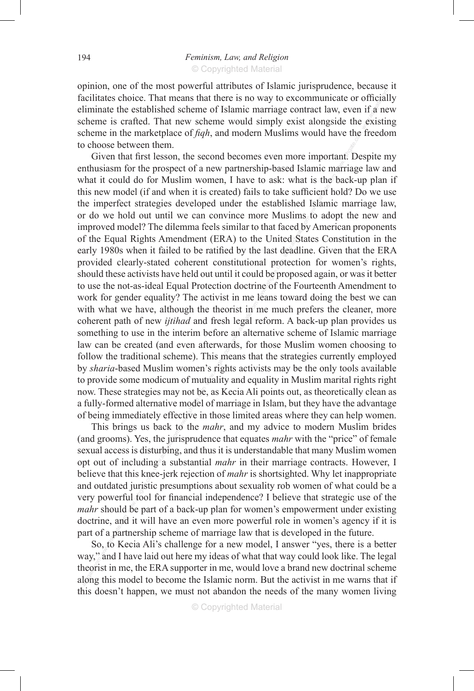facilitates choice. That means that there is no way to excommunicate or officially eliminate the established scheme of Islamic marriage contract law, even if a new scheme is crafted. That new scheme would simply exist alon opinion, one of the most powerful attributes of Islamic jurisprudence, because it eliminate the established scheme of Islamic marriage contract law, even if  $\hat{\mathbf{\alpha}}$  new scheme is crafted. That new scheme would simply exist alongside the existing scheme in the marketplace of *fiqh*, and modern Muslims would have the freedom to choose between them.

now. These strategies may not be, as Kecia Ali points out, as theoretically clean as<br>a fully-formed alternative model of marriage in Islam, but they have the advantage<br>of being immediately effective in those limited areas This me<br>This me<br>'s right with what we have, although the theorist in me much prefers the cleaner, more coherent path of new *ijtihad* and fresh legal reform. A back-up plan provides us something to use in the interim before an alternative scheme o nal pro<br>ld be pr<br>ne of tl<br>leans t improved model? The dilemma feels similar to that faced by American proponents<br>of the Equal Rights Amendment (ERA) to the United States Constitution in the<br>early 1980s when it failed to be ratified by the last deadline. Gi what it could do for Muslim women, I have to ask: what is the back-up plan if<br>this new model (if and when it is created) fails to take sufficient hold? Do we use<br>the imperfect strategies developed under the established Isl ave the<br>ant. De<br>arriage Given that first lesson, the second becomes even more important. Despite my enthusiasm for the prospect of a new partnership-based Islamic marriage law and this new model (if and when it is created) fails to take sufficient hold? Do we use the imperfect strategies developed under the established Islamic marriage law, or do we hold out until we can convince more Muslims to adopt the new and of the Equal Rights Amendment (ERA) to the United States Constitution in the early 1980s when it failed to be ratified by the last deadline. Given that the ERA provided clearly-stated coherent constitutional protection for women's rights, should these activists have held out until it could be proposed again, or was it better to use the not-as-ideal Equal Protection doctrine of the Fourteenth Amendment to work for gender equality? The activist in me leans toward doing the best we can coherent path of new *ijtihad* and fresh legal reform. A back-up plan provides us something to use in the interim before an alternative scheme of Islamic marriage law can be created (and even afterwards, for those Muslim women choosing to follow the traditional scheme). This means that the strategies currently employed by *sharia*-based Muslim women's rights activists may be the only tools available to provide some modicum of mutuality and equality in Muslim marital rights right a fully-formed alternative model of marriage in Islam, but they have the advantage of being immediately effective in those limited areas where they can help women.

me, and<br>f a part<br>b, to Ke mis kne<br>| juristi<br>ul tool<br>be par (and grooms). Yes, the jurisprudence that equates *mahr* with the "price" of female sexual access is disturbing, and thus it is understandable that many Muslim women opt out of including a substantial *mahr* in their marr This brings us back to the *mahr*, and my advice to modern Muslim brides sexual access is disturbing, and thus it is understandable that many Muslim women opt out of including a substantial *mahr* in their marriage contracts. However, I believe that this knee-jerk rejection of *mahr* is shortsighted. Why let inappropriate and outdated juristic presumptions about sexuality rob women of what could be a very powerful tool for financial independence? I believe that strategic use of the *mahr* should be part of a back-up plan for women's empowerment under existing doctrine, and it will have an even more powerful role in women's agency if it is part of a partnership scheme of marriage law that is developed in the future.

way, and I have fall out here my liceas of what that way collections like. The legal<br>theorist in me, the ERA supporter in me, would love a brand new doctrinal scheme<br>along this model to become the Islamic norm. But the act So, to Kecia Ali's challenge for a new model, I answer "yes, there is a better way," and I have laid out here my ideas of what that way could look like. The legal theorist in me, the ERA supporter in me, would love a brand new doctrinal scheme along this model to become the Islamic norm. But the activist in me warns that if